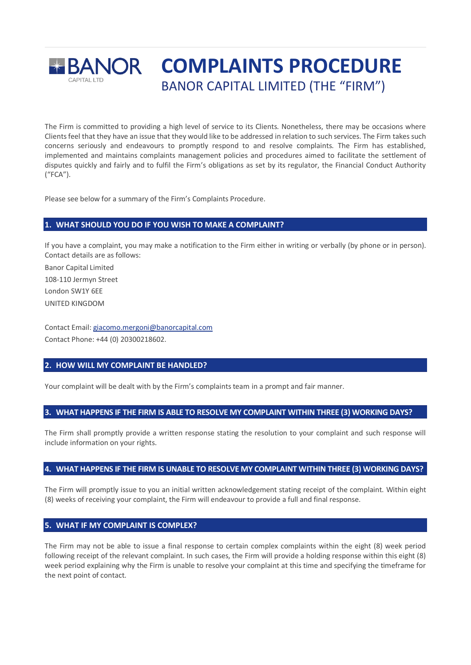

The Firm is committed to providing a high level of service to its Clients. Nonetheless, there may be occasions where Clients feel that they have an issue that they would like to be addressed in relation to such services. The Firm takes such concerns seriously and endeavours to promptly respond to and resolve complaints. The Firm has established, implemented and maintains complaints management policies and procedures aimed to facilitate the settlement of disputes quickly and fairly and to fulfil the Firm's obligations as set by its regulator, the Financial Conduct Authority ("FCA").

Please see below for a summary of the Firm's Complaints Procedure.

# **1. WHAT SHOULD YOU DO IF YOU WISH TO MAKE A COMPLAINT?**

If you have a complaint, you may make a notification to the Firm either in writing or verbally (by phone or in person). Contact details are as follows:

Banor Capital Limited 108-110 Jermyn Street London SW1Y 6EE UNITED KINGDOM

Contact Email[: giacomo.mergoni@banorcapital.com](mailto:giacomo.mergoni@banorcapital.com) Contact Phone: +44 (0) 20300218602.

# **2. HOW WILL MY COMPLAINT BE HANDLED?**

Your complaint will be dealt with by the Firm's complaints team in a prompt and fair manner.

## **3. WHAT HAPPENS IF THE FIRM IS ABLE TO RESOLVE MY COMPLAINT WITHIN THREE (3) WORKING DAYS?**

The Firm shall promptly provide a written response stating the resolution to your complaint and such response will include information on your rights.

#### **4. WHAT HAPPENS IF THE FIRM IS UNABLE TO RESOLVE MY COMPLAINT WITHIN THREE (3) WORKING DAYS?**

The Firm will promptly issue to you an initial written acknowledgement stating receipt of the complaint. Within eight (8) weeks of receiving your complaint, the Firm will endeavour to provide a full and final response.

#### **5. WHAT IF MY COMPLAINT IS COMPLEX?**

The Firm may not be able to issue a final response to certain complex complaints within the eight (8) week period following receipt of the relevant complaint. In such cases, the Firm will provide a holding response within this eight (8) week period explaining why the Firm is unable to resolve your complaint at this time and specifying the timeframe for the next point of contact.